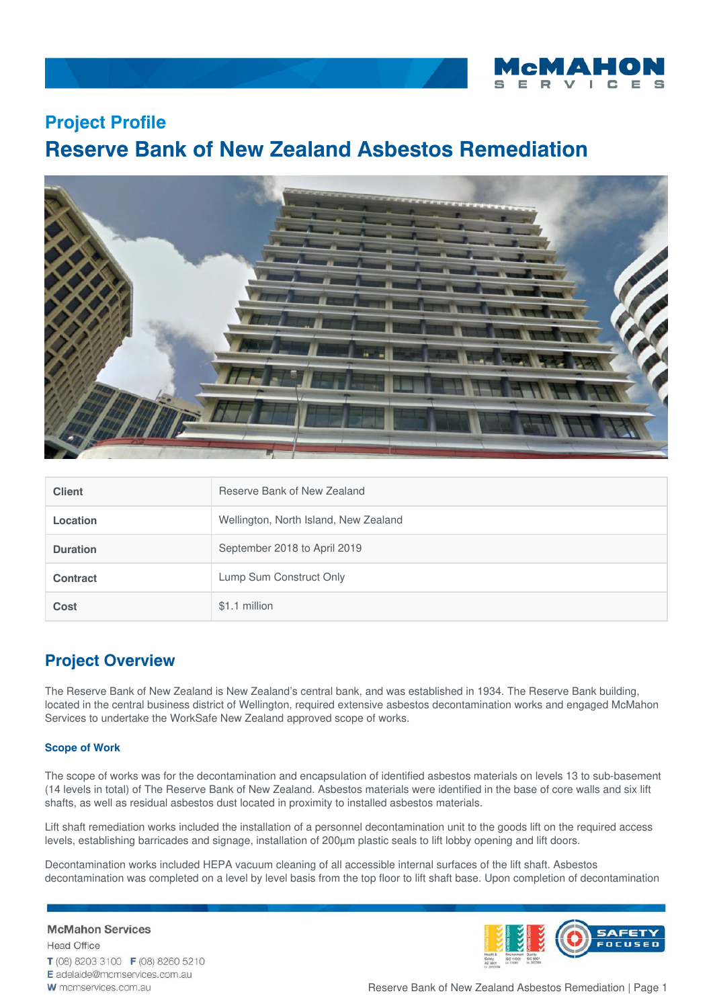

### **Project Profile**

# **Reserve Bank of New Zealand Asbestos Remediation**



| <b>Client</b>   | Reserve Bank of New Zealand           |
|-----------------|---------------------------------------|
| Location        | Wellington, North Island, New Zealand |
| <b>Duration</b> | September 2018 to April 2019          |
| <b>Contract</b> | Lump Sum Construct Only               |
| Cost            | \$1.1 million                         |

## **Project Overview**

The Reserve Bank of New Zealand is New Zealand's central bank, and was established in 1934. The Reserve Bank building, located in the central business district of Wellington, required extensive asbestos decontamination works and engaged McMahon Services to undertake the WorkSafe New Zealand approved scope of works.

#### **Scope of Work**

The scope of works was for the decontamination and encapsulation of identified asbestos materials on levels 13 to sub-basement (14 levels in total) of The Reserve Bank of New Zealand. Asbestos materials were identified in the base of core walls and six lift shafts, as well as residual asbestos dust located in proximity to installed asbestos materials.

Lift shaft remediation works included the installation of a personnel decontamination unit to the goods lift on the required access levels, establishing barricades and signage, installation of 200µm plastic seals to lift lobby opening and lift doors.

Decontamination works included HEPA vacuum cleaning of all accessible internal surfaces of the lift shaft. Asbestos decontamination was completed on a level by level basis from the top floor to lift shaft base. Upon completion of decontamination

#### **McMahon Services**

**Head Office** T (08) 8203 3100 F (08) 8260 5210 E adelaide@mcmservices.com.au W mcmservices.com.au